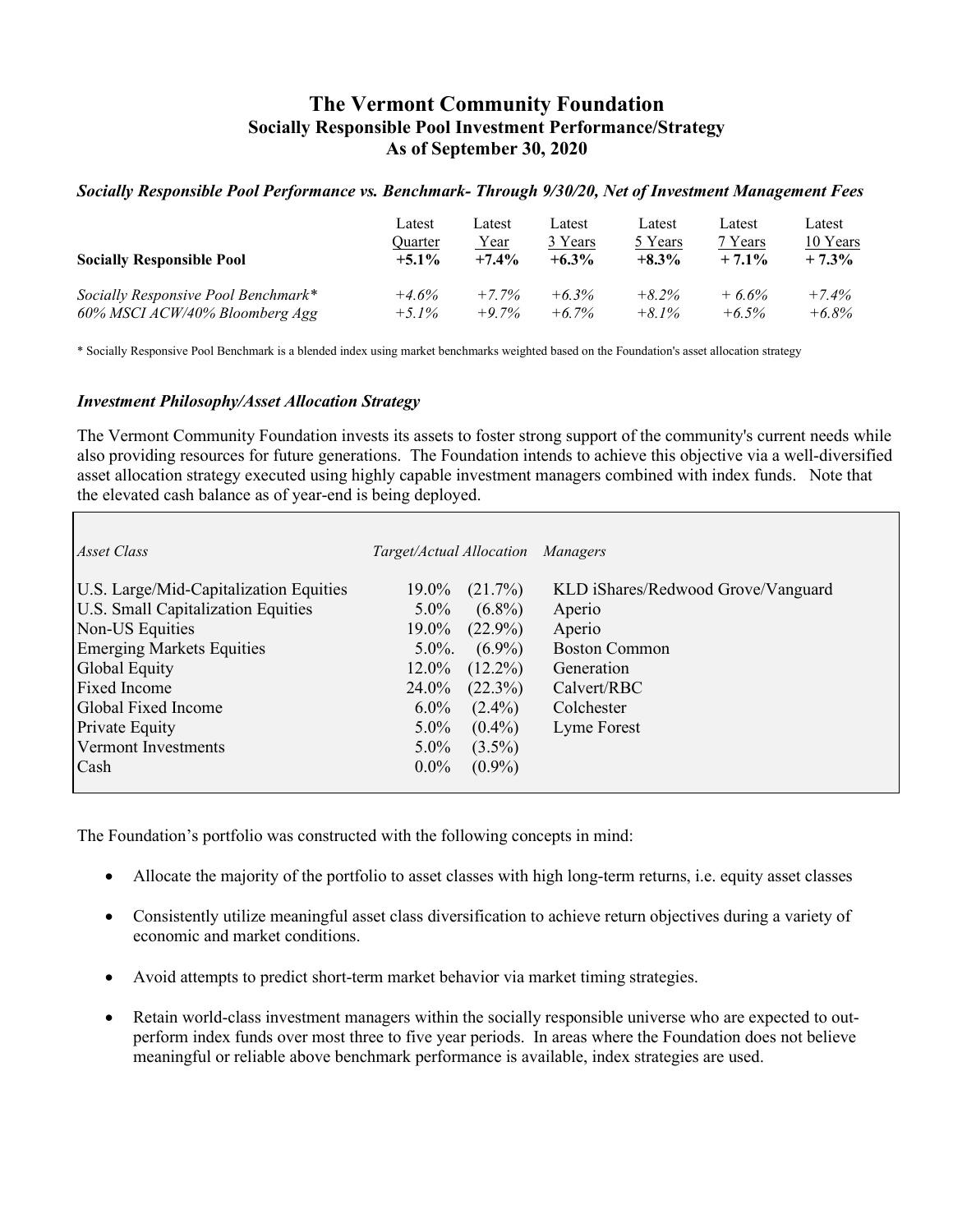# **The Vermont Community Foundation Socially Responsible Pool Investment Performance/Strategy As of September 30, 2020**

### *Socially Responsible Pool Performance vs. Benchmark- Through 9/30/20, Net of Investment Management Fees*

| <b>Socially Responsible Pool</b>    | Latest<br>Ouarter<br>$+5.1\%$ | Latest<br>Year<br>$+7.4%$ | Latest<br>3 Years<br>$+6.3\%$ | Latest<br>5 Years<br>$+8.3\%$ | Latest<br>7 Years<br>$+7.1\%$ | Latest<br>10 Years<br>$+7.3\%$ |
|-------------------------------------|-------------------------------|---------------------------|-------------------------------|-------------------------------|-------------------------------|--------------------------------|
| Socially Responsive Pool Benchmark* | $+4.6%$                       | $+7.7\%$                  | $+6.3\%$                      | $+8.2\%$                      | $+6.6%$                       | $+7.4%$                        |
| 60% MSCI ACW/40% Bloomberg Agg      | $+5.1\%$                      | $+9.7\%$                  | $+6.7\%$                      | $+8.1\%$                      | $+6.5\%$                      | $+6.8\%$                       |

\* Socially Responsive Pool Benchmark is a blended index using market benchmarks weighted based on the Foundation's asset allocation strategy

#### *Investment Philosophy/Asset Allocation Strategy*

The Vermont Community Foundation invests its assets to foster strong support of the community's current needs while also providing resources for future generations. The Foundation intends to achieve this objective via a well-diversified asset allocation strategy executed using highly capable investment managers combined with index funds. Note that the elevated cash balance as of year-end is being deployed.

| Asset Class                               | Target/Actual Allocation Managers |            |                                    |
|-------------------------------------------|-----------------------------------|------------|------------------------------------|
| U.S. Large/Mid-Capitalization Equities    | $19.0\%$                          | (21.7%)    | KLD iShares/Redwood Grove/Vanguard |
| <b>U.S. Small Capitalization Equities</b> | $5.0\%$                           | $(6.8\%)$  | Aperio                             |
| Non-US Equities                           | 19.0%                             | $(22.9\%)$ | Aperio                             |
| <b>Emerging Markets Equities</b>          | $5.0\%$ .                         | $(6.9\%)$  | <b>Boston Common</b>               |
| Global Equity                             | 12.0%                             | $(12.2\%)$ | Generation                         |
| <b>Fixed Income</b>                       | 24.0%                             | $(22.3\%)$ | Calvert/RBC                        |
| Global Fixed Income                       | $6.0\%$                           | $(2.4\%)$  | Colchester                         |
| <b>Private Equity</b>                     | $5.0\%$                           | $(0.4\%)$  | Lyme Forest                        |
| Vermont Investments                       | $5.0\%$                           | $(3.5\%)$  |                                    |
| Cash                                      | $0.0\%$                           | $(0.9\%)$  |                                    |
|                                           |                                   |            |                                    |

The Foundation's portfolio was constructed with the following concepts in mind:

- Allocate the majority of the portfolio to asset classes with high long-term returns, i.e. equity asset classes
- Consistently utilize meaningful asset class diversification to achieve return objectives during a variety of economic and market conditions.
- Avoid attempts to predict short-term market behavior via market timing strategies.
- Retain world-class investment managers within the socially responsible universe who are expected to outperform index funds over most three to five year periods. In areas where the Foundation does not believe meaningful or reliable above benchmark performance is available, index strategies are used.